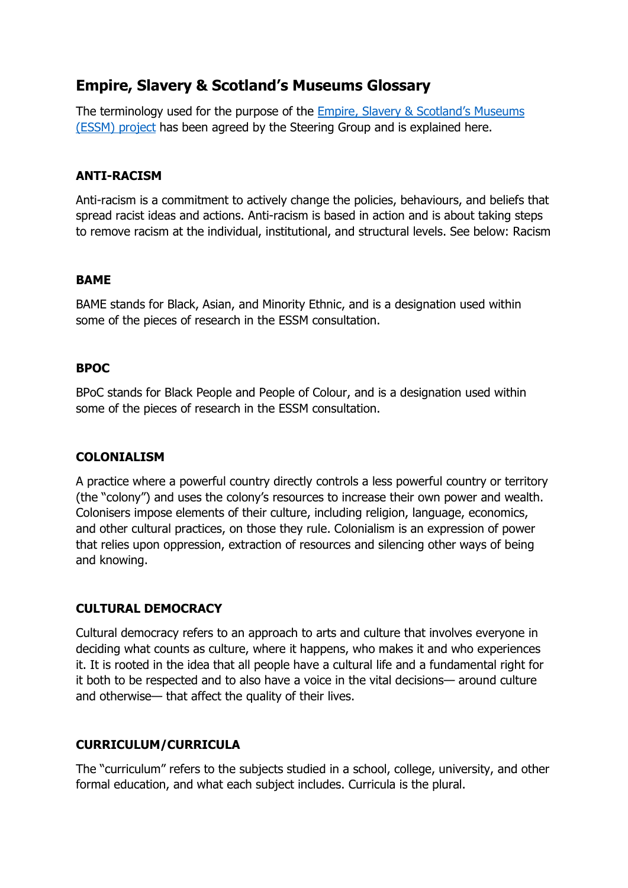# **Empire, Slavery & Scotland's Museums Glossary**

The terminology used for the purpose of the [Empire, Slavery & Scotland](https://www.museumsgalleriesscotland.org.uk/projects/empire-slavery-scotlands-museums/)'s Museums [\(ESSM\) project](https://www.museumsgalleriesscotland.org.uk/projects/empire-slavery-scotlands-museums/) has been agreed by the Steering Group and is explained here.

## **ANTI-RACISM**

Anti-racism is a commitment to actively change the policies, behaviours, and beliefs that spread racist ideas and actions. Anti-racism is based in action and is about taking steps to remove racism at the individual, institutional, and structural levels. See below: Racism

#### **BAME**

BAME stands for Black, Asian, and Minority Ethnic, and is a designation used within some of the pieces of research in the ESSM consultation.

## **BPOC**

BPoC stands for Black People and People of Colour, and is a designation used within some of the pieces of research in the ESSM consultation.

## **COLONIALISM**

A practice where a powerful country directly controls a less powerful country or territory (the "colony") and uses the colony's resources to increase their own power and wealth. Colonisers impose elements of their culture, including religion, language, economics, and other cultural practices, on those they rule. Colonialism is an expression of power that relies upon oppression, extraction of resources and silencing other ways of being and knowing.

# **CULTURAL DEMOCRACY**

Cultural democracy refers to an approach to arts and culture that involves everyone in deciding what counts as culture, where it happens, who makes it and who experiences it. It is rooted in the idea that all people have a cultural life and a fundamental right for it both to be respected and to also have a voice in the vital decisions— around culture and otherwise— that affect the quality of their lives.

# **CURRICULUM/CURRICULA**

The "curriculum" refers to the subjects studied in a school, college, university, and other formal education, and what each subject includes. Curricula is the plural.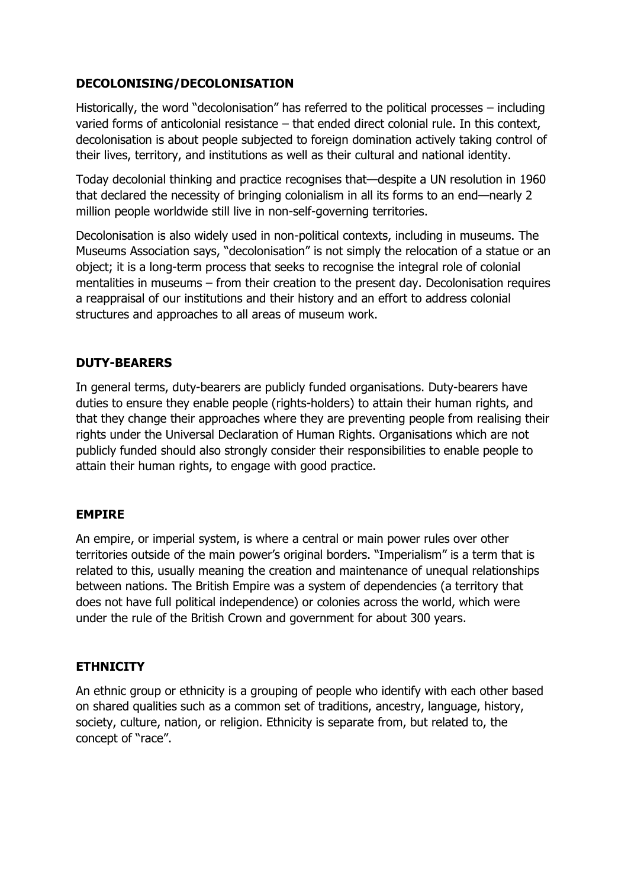## **DECOLONISING/DECOLONISATION**

Historically, the word "decolonisation" has referred to the political processes – including varied forms of anticolonial resistance – that ended direct colonial rule. In this context, decolonisation is about people subjected to foreign domination actively taking control of their lives, territory, and institutions as well as their cultural and national identity.

Today decolonial thinking and practice recognises that—despite a UN resolution in 1960 that declared the necessity of bringing colonialism in all its forms to an end—nearly 2 million people worldwide still live in non-self-governing territories.

Decolonisation is also widely used in non-political contexts, including in museums. The Museums Association says, "decolonisation" is not simply the relocation of a statue or an object; it is a long-term process that seeks to recognise the integral role of colonial mentalities in museums – from their creation to the present day. Decolonisation requires a reappraisal of our institutions and their history and an effort to address colonial structures and approaches to all areas of museum work.

## **DUTY-BEARERS**

In general terms, duty-bearers are publicly funded organisations. Duty-bearers have duties to ensure they enable people (rights-holders) to attain their human rights, and that they change their approaches where they are preventing people from realising their rights under the Universal Declaration of Human Rights. Organisations which are not publicly funded should also strongly consider their responsibilities to enable people to attain their human rights, to engage with good practice.

## **EMPIRE**

An empire, or imperial system, is where a central or main power rules over other territories outside of the main power's original borders. "Imperialism" is a term that is related to this, usually meaning the creation and maintenance of unequal relationships between nations. The British Empire was a system of dependencies (a territory that does not have full political independence) or colonies across the world, which were under the rule of the British Crown and government for about 300 years.

## **ETHNICITY**

An ethnic group or ethnicity is a grouping of people who identify with each other based on shared qualities such as a common set of traditions, ancestry, language, history, society, culture, nation, or religion. Ethnicity is separate from, but related to, the concept of "race".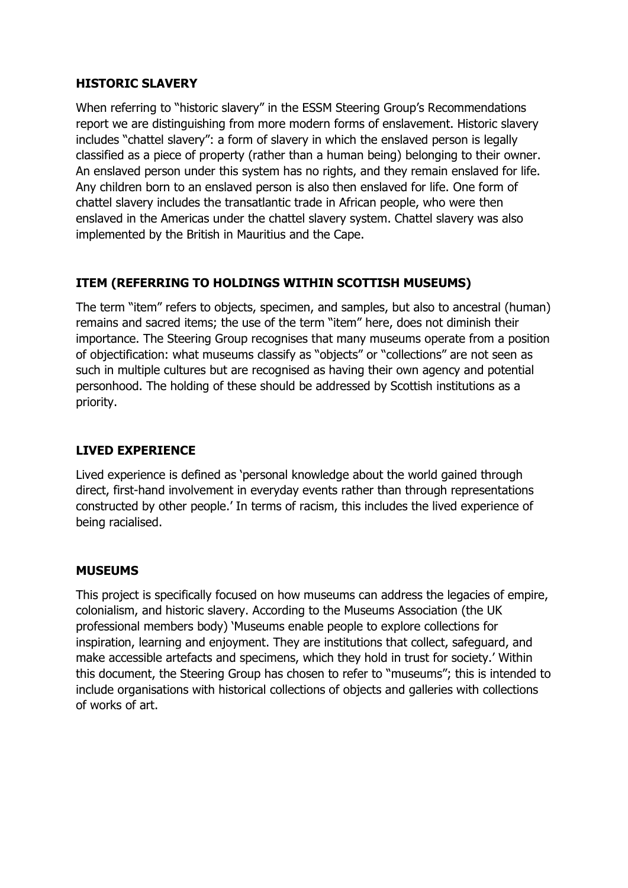#### **HISTORIC SLAVERY**

When referring to "historic slavery" in the ESSM Steering Group's Recommendations report we are distinguishing from more modern forms of enslavement. Historic slavery includes "chattel slavery": a form of slavery in which the enslaved person is legally classified as a piece of property (rather than a human being) belonging to their owner. An enslaved person under this system has no rights, and they remain enslaved for life. Any children born to an enslaved person is also then enslaved for life. One form of chattel slavery includes the transatlantic trade in African people, who were then enslaved in the Americas under the chattel slavery system. Chattel slavery was also implemented by the British in Mauritius and the Cape.

## **ITEM (REFERRING TO HOLDINGS WITHIN SCOTTISH MUSEUMS)**

The term "item" refers to objects, specimen, and samples, but also to ancestral (human) remains and sacred items; the use of the term "item" here, does not diminish their importance. The Steering Group recognises that many museums operate from a position of objectification: what museums classify as "objects" or "collections" are not seen as such in multiple cultures but are recognised as having their own agency and potential personhood. The holding of these should be addressed by Scottish institutions as a priority.

## **LIVED EXPERIENCE**

Lived experience is defined as 'personal knowledge about the world gained through direct, first-hand involvement in everyday events rather than through representations constructed by other people.' In terms of racism, this includes the lived experience of being racialised.

#### **MUSEUMS**

This project is specifically focused on how museums can address the legacies of empire, colonialism, and historic slavery. According to the Museums Association (the UK professional members body) 'Museums enable people to explore collections for inspiration, learning and enjoyment. They are institutions that collect, safeguard, and make accessible artefacts and specimens, which they hold in trust for society.' Within this document, the Steering Group has chosen to refer to "museums"; this is intended to include organisations with historical collections of objects and galleries with collections of works of art.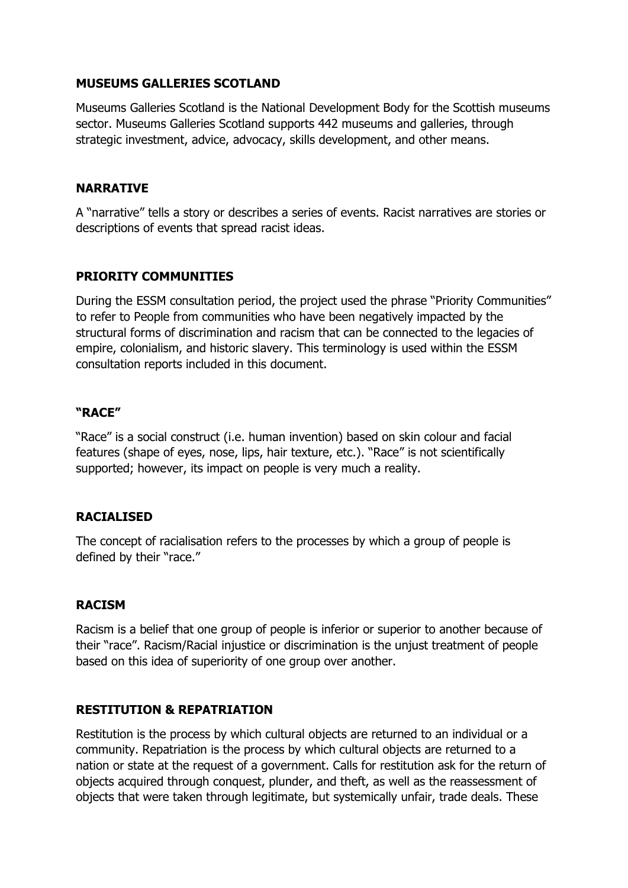#### **MUSEUMS GALLERIES SCOTLAND**

Museums Galleries Scotland is the National Development Body for the Scottish museums sector. Museums Galleries Scotland supports 442 museums and galleries, through strategic investment, advice, advocacy, skills development, and other means.

#### **NARRATIVE**

A "narrative" tells a story or describes a series of events. Racist narratives are stories or descriptions of events that spread racist ideas.

## **PRIORITY COMMUNITIES**

During the ESSM consultation period, the project used the phrase "Priority Communities" to refer to People from communities who have been negatively impacted by the structural forms of discrimination and racism that can be connected to the legacies of empire, colonialism, and historic slavery. This terminology is used within the ESSM consultation reports included in this document.

#### **"RACE"**

"Race" is a social construct (i.e. human invention) based on skin colour and facial features (shape of eyes, nose, lips, hair texture, etc.). "Race" is not scientifically supported; however, its impact on people is very much a reality.

## **RACIALISED**

The concept of racialisation refers to the processes by which a group of people is defined by their "race."

#### **RACISM**

Racism is a belief that one group of people is inferior or superior to another because of their "race". Racism/Racial injustice or discrimination is the unjust treatment of people based on this idea of superiority of one group over another.

## **RESTITUTION & REPATRIATION**

Restitution is the process by which cultural objects are returned to an individual or a community. Repatriation is the process by which cultural objects are returned to a nation or state at the request of a government. Calls for restitution ask for the return of objects acquired through conquest, plunder, and theft, as well as the reassessment of objects that were taken through legitimate, but systemically unfair, trade deals. These